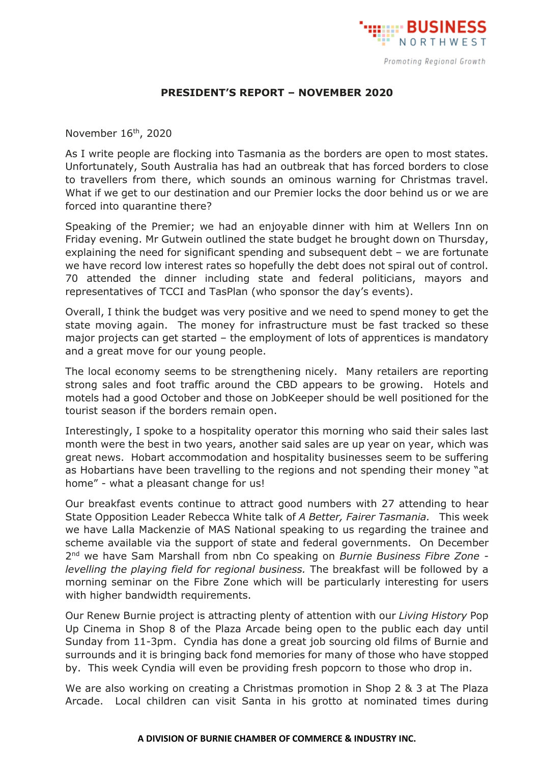

## **PRESIDENT'S REPORT – NOVEMBER 2020**

November 16 th, 2020

As I write people are flocking into Tasmania as the borders are open to most states. Unfortunately, South Australia has had an outbreak that has forced borders to close to travellers from there, which sounds an ominous warning for Christmas travel. What if we get to our destination and our Premier locks the door behind us or we are forced into quarantine there?

Speaking of the Premier; we had an enjoyable dinner with him at Wellers Inn on Friday evening. Mr Gutwein outlined the state budget he brought down on Thursday, explaining the need for significant spending and subsequent debt – we are fortunate we have record low interest rates so hopefully the debt does not spiral out of control. 70 attended the dinner including state and federal politicians, mayors and representatives of TCCI and TasPlan (who sponsor the day's events).

Overall, I think the budget was very positive and we need to spend money to get the state moving again. The money for infrastructure must be fast tracked so these major projects can get started – the employment of lots of apprentices is mandatory and a great move for our young people.

The local economy seems to be strengthening nicely. Many retailers are reporting strong sales and foot traffic around the CBD appears to be growing. Hotels and motels had a good October and those on JobKeeper should be well positioned for the tourist season if the borders remain open.

Interestingly, I spoke to a hospitality operator this morning who said their sales last month were the best in two years, another said sales are up year on year, which was great news. Hobart accommodation and hospitality businesses seem to be suffering as Hobartians have been travelling to the regions and not spending their money "at home" - what a pleasant change for us!

Our breakfast events continue to attract good numbers with 27 attending to hear State Opposition Leader Rebecca White talk of *A Better, Fairer Tasmania.* This week we have Lalla Mackenzie of MAS National speaking to us regarding the trainee and scheme available via the support of state and federal governments. On December 2 nd we have Sam Marshall from nbn Co speaking on *Burnie Business Fibre Zone levelling the playing field for regional business.* The breakfast will be followed by a morning seminar on the Fibre Zone which will be particularly interesting for users with higher bandwidth requirements.

Our Renew Burnie project is attracting plenty of attention with our *Living History* Pop Up Cinema in Shop 8 of the Plaza Arcade being open to the public each day until Sunday from 11-3pm. Cyndia has done a great job sourcing old films of Burnie and surrounds and it is bringing back fond memories for many of those who have stopped by. This week Cyndia will even be providing fresh popcorn to those who drop in.

We are also working on creating a Christmas promotion in Shop 2 & 3 at The Plaza Arcade. Local children can visit Santa in his grotto at nominated times during